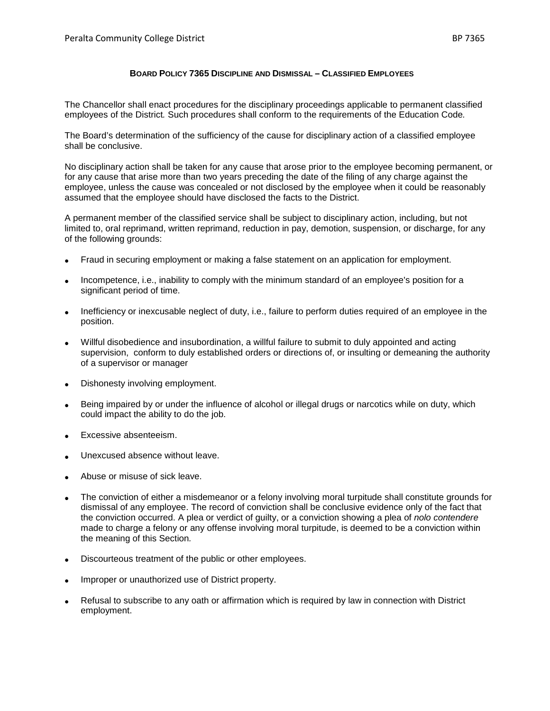## **BOARD POLICY 7365 DISCIPLINE AND DISMISSAL – CLASSIFIED EMPLOYEES**

The Chancellor shall enact procedures for the disciplinary proceedings applicable to permanent classified employees of the District*.* Such procedures shall conform to the requirements of the Education Code*.*

The Board's determination of the sufficiency of the cause for disciplinary action of a classified employee shall be conclusive.

No disciplinary action shall be taken for any cause that arose prior to the employee becoming permanent, or for any cause that arise more than two years preceding the date of the filing of any charge against the employee, unless the cause was concealed or not disclosed by the employee when it could be reasonably assumed that the employee should have disclosed the facts to the District.

A permanent member of the classified service shall be subject to disciplinary action, including, but not limited to, oral reprimand, written reprimand, reduction in pay, demotion, suspension, or discharge, for any of the following grounds:

- Fraud in securing employment or making a false statement on an application for employment.
- Incompetence, i.e., inability to comply with the minimum standard of an employee's position for a significant period of time.
- Inefficiency or inexcusable neglect of duty, i.e., failure to perform duties required of an employee in the position.
- Willful disobedience and insubordination, a willful failure to submit to duly appointed and acting supervision, conform to duly established orders or directions of, or insulting or demeaning the authority of a supervisor or manager
- Dishonesty involving employment.
- Being impaired by or under the influence of alcohol or illegal drugs or narcotics while on duty, which could impact the ability to do the job.
- Excessive absenteeism.
- Unexcused absence without leave.
- Abuse or misuse of sick leave.
- The conviction of either a misdemeanor or a felony involving moral turpitude shall constitute grounds for dismissal of any employee. The record of conviction shall be conclusive evidence only of the fact that the conviction occurred. A plea or verdict of guilty, or a conviction showing a plea of *nolo contendere* made to charge a felony or any offense involving moral turpitude, is deemed to be a conviction within the meaning of this Section*.*
- Discourteous treatment of the public or other employees.
- Improper or unauthorized use of District property.
- Refusal to subscribe to any oath or affirmation which is required by law in connection with District employment.